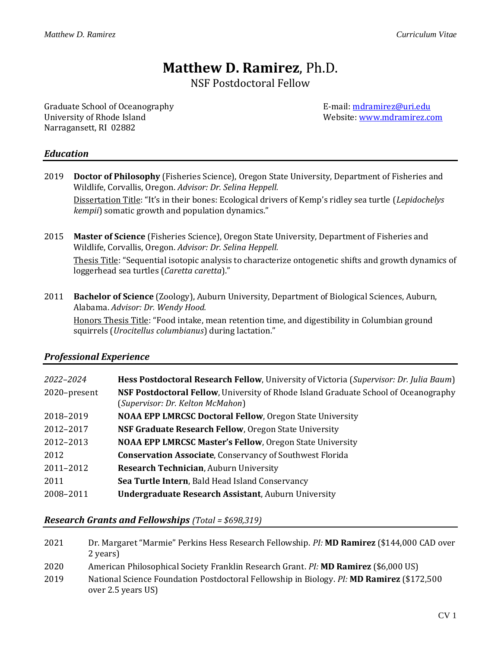# **Matthew D. Ramirez**, Ph.D.

NSF Postdoctoral Fellow

Graduate School of Oceanography **E-mail:** mail: mail: mail: mail: mail: mail: mail: mail: mail: mail: mail: mail: mail: mail: mail: mail: mail: mail: mail: mail: mail: mail: mail: mail: mail: mail: mail: mail: mail: mail: University of Rhode Island Website[: www.mdramirez.com](http://www.mdramirez.com/) Narragansett, RI 02882

## *Education*

- 2019 **Doctor of Philosophy** (Fisheries Science), Oregon State University, Department of Fisheries and Wildlife, Corvallis, Oregon. *Advisor: Dr. Selina Heppell.* Dissertation Title: "It's in their bones: Ecological drivers of Kemp's ridley sea turtle (*Lepidochelys kempii*) somatic growth and population dynamics."
- 2015 **Master of Science** (Fisheries Science), Oregon State University, Department of Fisheries and Wildlife, Corvallis, Oregon. *Advisor: Dr. Selina Heppell.* Thesis Title: "Sequential isotopic analysis to characterize ontogenetic shifts and growth dynamics of loggerhead sea turtles (*Caretta caretta*)."
- 2011 **Bachelor of Science** (Zoology), Auburn University, Department of Biological Sciences, Auburn, Alabama. *Advisor: Dr. Wendy Hood.*

Honors Thesis Title: "Food intake, mean retention time, and digestibility in Columbian ground squirrels (*Urocitellus columbianus*) during lactation."

## *Professional Experience*

| 2022–2024    | Hess Postdoctoral Research Fellow, University of Victoria (Supervisor: Dr. Julia Baum)                                         |
|--------------|--------------------------------------------------------------------------------------------------------------------------------|
| 2020-present | <b>NSF Postdoctoral Fellow, University of Rhode Island Graduate School of Oceanography</b><br>(Supervisor: Dr. Kelton McMahon) |
| 2018-2019    | <b>NOAA EPP LMRCSC Doctoral Fellow, Oregon State University</b>                                                                |
| 2012-2017    | NSF Graduate Research Fellow, Oregon State University                                                                          |
| 2012-2013    | <b>NOAA EPP LMRCSC Master's Fellow, Oregon State University</b>                                                                |
| 2012         | <b>Conservation Associate, Conservancy of Southwest Florida</b>                                                                |
| 2011-2012    | Research Technician, Auburn University                                                                                         |
| 2011         | Sea Turtle Intern, Bald Head Island Conservancy                                                                                |
| 2008-2011    | <b>Undergraduate Research Assistant, Auburn University</b>                                                                     |

## *Research Grants and Fellowships (Total = \$698,319)*

| 2021 | Dr. Margaret "Marmie" Perkins Hess Research Fellowship. PI: <b>MD Ramirez</b> (\$144,000 CAD over                |
|------|------------------------------------------------------------------------------------------------------------------|
|      | 2 years)                                                                                                         |
| 2020 | American Philosophical Society Franklin Research Grant. Pl: MD Ramirez (\$6,000 US)                              |
| 2019 | National Science Foundation Postdoctoral Fellowship in Biology. Pl: MD Ramirez (\$172,500)<br>over 2.5 years US) |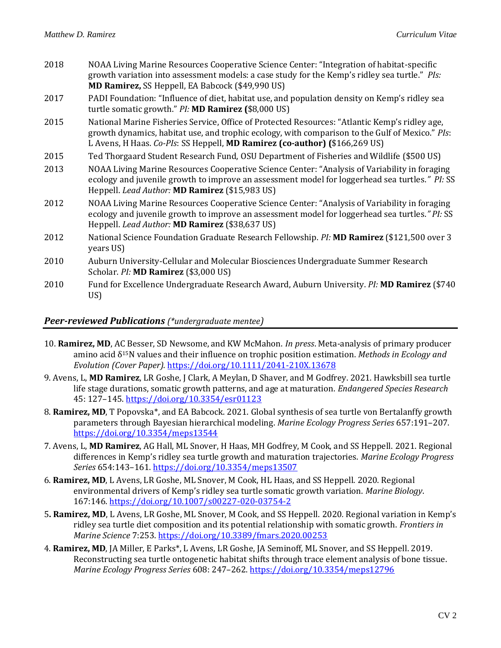| 2018 | NOAA Living Marine Resources Cooperative Science Center: "Integration of habitat-specific<br>growth variation into assessment models: a case study for the Kemp's ridley sea turtle." Pls:<br>MD Ramirez, SS Heppell, EA Babcock (\$49,990 US)                                  |
|------|---------------------------------------------------------------------------------------------------------------------------------------------------------------------------------------------------------------------------------------------------------------------------------|
| 2017 | PADI Foundation: "Influence of diet, habitat use, and population density on Kemp's ridley sea<br>turtle somatic growth." PI: MD Ramirez (\$8,000 US)                                                                                                                            |
| 2015 | National Marine Fisheries Service, Office of Protected Resources: "Atlantic Kemp's ridley age,<br>growth dynamics, habitat use, and trophic ecology, with comparison to the Gulf of Mexico." Pls:<br>L Avens, H Haas. Co-Pls: SS Heppell, MD Ramirez (co-author) (\$166,269 US) |
| 2015 | Ted Thorgaard Student Research Fund, OSU Department of Fisheries and Wildlife (\$500 US)                                                                                                                                                                                        |
| 2013 | NOAA Living Marine Resources Cooperative Science Center: "Analysis of Variability in foraging<br>ecology and juvenile growth to improve an assessment model for loggerhead sea turtles." PI: SS<br>Heppell. Lead Author: MD Ramirez (\$15,983 US)                               |
| 2012 | NOAA Living Marine Resources Cooperative Science Center: "Analysis of Variability in foraging<br>ecology and juvenile growth to improve an assessment model for loggerhead sea turtles." PI: SS<br>Heppell. Lead Author: MD Ramirez (\$38,637 US)                               |
| 2012 | National Science Foundation Graduate Research Fellowship. Pl: MD Ramirez (\$121,500 over 3<br>years US)                                                                                                                                                                         |
| 2010 | Auburn University-Cellular and Molecular Biosciences Undergraduate Summer Research<br>Scholar. Pl: MD Ramirez (\$3,000 US)                                                                                                                                                      |
| 2010 | Fund for Excellence Undergraduate Research Award, Auburn University. Pl: MD Ramirez (\$740)<br>US)                                                                                                                                                                              |

#### *Peer-reviewed Publications (\*undergraduate mentee)*

- 10. **Ramirez, MD**, AC Besser, SD Newsome, and KW McMahon. *In press*. Meta-analysis of primary producer amino acid δ15N values and their influence on trophic position estimation. *Methods in Ecology and Evolution (Cover Paper).* <https://doi.org/10.1111/2041-210X.13678>
- 9. Avens, L, **MD Ramirez**, LR Goshe, J Clark, A Meylan, D Shaver, and M Godfrey. 2021. Hawksbill sea turtle life stage durations, somatic growth patterns, and age at maturation. *Endangered Species Research* 45: 127–145.<https://doi.org/10.3354/esr01123>
- 8. **Ramirez, MD**, T Popovska\*, and EA Babcock. 2021. Global synthesis of sea turtle von Bertalanffy growth parameters through Bayesian hierarchical modeling. *Marine Ecology Progress Series* 657:191–207. <https://doi.org/10.3354/meps13544>
- 7. Avens, L, **MD Ramirez**, AG Hall, ML Snover, H Haas, MH Godfrey, M Cook, and SS Heppell. 2021. Regional differences in Kemp's ridley sea turtle growth and maturation trajectories. *Marine Ecology Progress Series* 654:143–161. <https://doi.org/10.3354/meps13507>
- 6. **Ramirez, MD**, L Avens, LR Goshe, ML Snover, M Cook, HL Haas, and SS Heppell. 2020. Regional environmental drivers of Kemp's ridley sea turtle somatic growth variation. *Marine Biology*. 167:146.<https://doi.org/10.1007/s00227-020-03754-2>
- 5**. Ramirez, MD**, L Avens, LR Goshe, ML Snover, M Cook, and SS Heppell. 2020*.* Regional variation in Kemp's ridley sea turtle diet composition and its potential relationship with somatic growth. *Frontiers in Marine Science* 7:253. <https://doi.org/10.3389/fmars.2020.00253>
- 4. **Ramirez, MD**, JA Miller, E Parks\*, L Avens, LR Goshe, JA Seminoff, ML Snover, and SS Heppell. 2019. Reconstructing sea turtle ontogenetic habitat shifts through trace element analysis of bone tissue. *Marine Ecology Progress Series* 608: 247–262. <https://doi.org/10.3354/meps12796>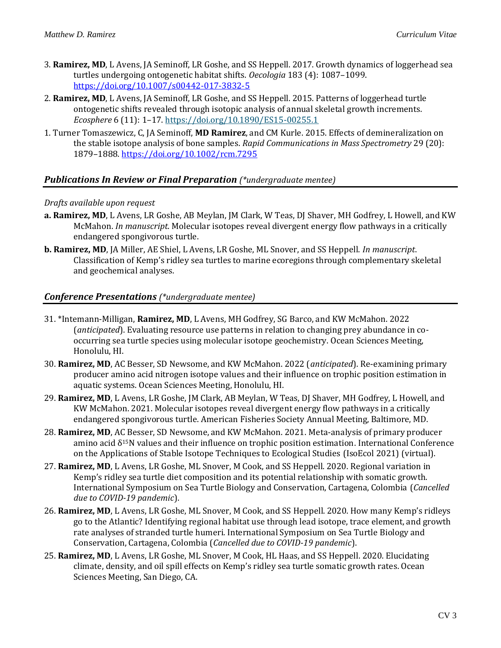- 3. **Ramirez, MD**, L Avens, JA Seminoff, LR Goshe, and SS Heppell. 2017. Growth dynamics of loggerhead sea turtles undergoing ontogenetic habitat shifts. *Oecologia* 183 (4): 1087–1099. <https://doi.org/10.1007/s00442-017-3832-5>
- 2. **Ramirez, MD**, L Avens, JA Seminoff, LR Goshe, and SS Heppell. 2015. Patterns of loggerhead turtle ontogenetic shifts revealed through isotopic analysis of annual skeletal growth increments. *Ecosphere* 6 (11): 1–17. <https://doi.org/10.1890/ES15-00255.1>
- 1. Turner Tomaszewicz, C, JA Seminoff, **MD Ramirez**, and CM Kurle. 2015. Effects of demineralization on the stable isotope analysis of bone samples. *Rapid Communications in Mass Spectrometry* 29 (20): 1879–1888. <https://doi.org/10.1002/rcm.7295>

## *Publications In Review or Final Preparation (\*undergraduate mentee)*

#### *Drafts available upon request*

- **a. Ramirez, MD**, L Avens, LR Goshe, AB Meylan, JM Clark, W Teas, DJ Shaver, MH Godfrey, L Howell, and KW McMahon. *In manuscript*. Molecular isotopes reveal divergent energy flow pathways in a critically endangered spongivorous turtle.
- **b. Ramirez, MD**, JA Miller, AE Shiel, L Avens, LR Goshe, ML Snover, and SS Heppell. *In manuscript*. Classification of Kemp's ridley sea turtles to marine ecoregions through complementary skeletal and geochemical analyses.

#### *Conference Presentations (\*undergraduate mentee)*

- 31. \*Intemann-Milligan, **Ramirez, MD**, L Avens, MH Godfrey, SG Barco, and KW McMahon. 2022 (*anticipated*). Evaluating resource use patterns in relation to changing prey abundance in cooccurring sea turtle species using molecular isotope geochemistry. Ocean Sciences Meeting, Honolulu, HI.
- 30. **Ramirez, MD**, AC Besser, SD Newsome, and KW McMahon. 2022 (*anticipated*). Re-examining primary producer amino acid nitrogen isotope values and their influence on trophic position estimation in aquatic systems. Ocean Sciences Meeting, Honolulu, HI.
- 29. **Ramirez, MD**, L Avens, LR Goshe, JM Clark, AB Meylan, W Teas, DJ Shaver, MH Godfrey, L Howell, and KW McMahon. 2021. Molecular isotopes reveal divergent energy flow pathways in a critically endangered spongivorous turtle. American Fisheries Society Annual Meeting, Baltimore, MD.
- 28. **Ramirez, MD**, AC Besser, SD Newsome, and KW McMahon. 2021. Meta-analysis of primary producer amino acid  $\delta^{15}$ N values and their influence on trophic position estimation. International Conference on the Applications of Stable Isotope Techniques to Ecological Studies (IsoEcol 2021) (virtual).
- 27. **Ramirez, MD**, L Avens, LR Goshe, ML Snover, M Cook, and SS Heppell. 2020. Regional variation in Kemp's ridley sea turtle diet composition and its potential relationship with somatic growth. International Symposium on Sea Turtle Biology and Conservation, Cartagena, Colombia (*Cancelled due to COVID-19 pandemic*).
- 26. **Ramirez, MD**, L Avens, LR Goshe, ML Snover, M Cook, and SS Heppell. 2020. How many Kemp's ridleys go to the Atlantic? Identifying regional habitat use through lead isotope, trace element, and growth rate analyses of stranded turtle humeri. International Symposium on Sea Turtle Biology and Conservation, Cartagena, Colombia (*Cancelled due to COVID-19 pandemic*).
- 25. **Ramirez, MD**, L Avens, LR Goshe, ML Snover, M Cook, HL Haas, and SS Heppell. 2020. Elucidating climate, density, and oil spill effects on Kemp's ridley sea turtle somatic growth rates. Ocean Sciences Meeting, San Diego, CA.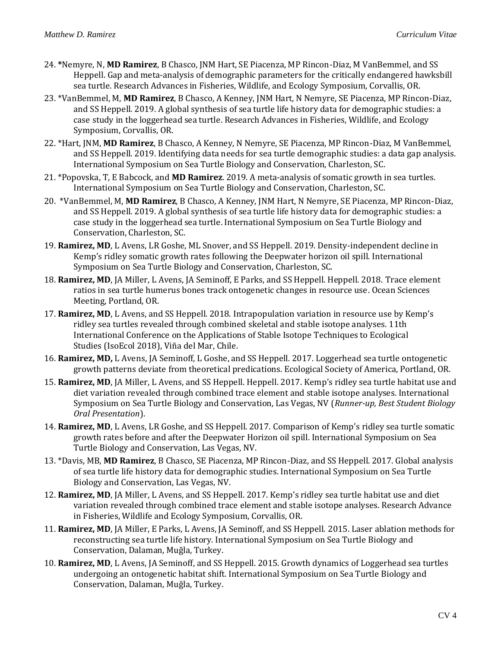- 24. **\***Nemyre, N, **MD Ramirez**, B Chasco, JNM Hart, SE Piacenza, MP Rincon-Diaz, M VanBemmel, and SS Heppell. Gap and meta-analysis of demographic parameters for the critically endangered hawksbill sea turtle. Research Advances in Fisheries, Wildlife, and Ecology Symposium, Corvallis, OR.
- 23. \*VanBemmel, M, **MD Ramirez**, B Chasco, A Kenney, JNM Hart, N Nemyre, SE Piacenza, MP Rincon-Diaz, and SS Heppell. 2019. A global synthesis of sea turtle life history data for demographic studies: a case study in the loggerhead sea turtle. Research Advances in Fisheries, Wildlife, and Ecology Symposium, Corvallis, OR.
- 22. \*Hart, JNM, **MD Ramirez**, B Chasco, A Kenney, N Nemyre, SE Piacenza, MP Rincon-Diaz, M VanBemmel, and SS Heppell. 2019. Identifying data needs for sea turtle demographic studies: a data gap analysis. International Symposium on Sea Turtle Biology and Conservation, Charleston, SC.
- 21. \*Popovska, T, E Babcock, and **MD Ramirez**. 2019. A meta-analysis of somatic growth in sea turtles. International Symposium on Sea Turtle Biology and Conservation, Charleston, SC.
- 20. \*VanBemmel, M, **MD Ramirez**, B Chasco, A Kenney, JNM Hart, N Nemyre, SE Piacenza, MP Rincon-Diaz, and SS Heppell. 2019. A global synthesis of sea turtle life history data for demographic studies: a case study in the loggerhead sea turtle. International Symposium on Sea Turtle Biology and Conservation, Charleston, SC.
- 19. **Ramirez, MD**, L Avens, LR Goshe, ML Snover, and SS Heppell. 2019. Density-independent decline in Kemp's ridley somatic growth rates following the Deepwater horizon oil spill. International Symposium on Sea Turtle Biology and Conservation, Charleston, SC.
- 18. **Ramirez, MD**, JA Miller, L Avens, JA Seminoff, E Parks, and SS Heppell. Heppell. 2018. Trace element ratios in sea turtle humerus bones track ontogenetic changes in resource use. Ocean Sciences Meeting, Portland, OR.
- 17. **Ramirez, MD**, L Avens, and SS Heppell. 2018. Intrapopulation variation in resource use by Kemp's ridley sea turtles revealed through combined skeletal and stable isotope analyses. 11th International Conference on the Applications of Stable Isotope Techniques to Ecological Studies (IsoEcol 2018), Viña del Mar, Chile.
- 16. **Ramirez, MD,** L Avens, JA Seminoff, L Goshe, and SS Heppell. 2017. Loggerhead sea turtle ontogenetic growth patterns deviate from theoretical predications. Ecological Society of America, Portland, OR.
- 15. **Ramirez, MD**, JA Miller, L Avens, and SS Heppell. Heppell. 2017. Kemp's ridley sea turtle habitat use and diet variation revealed through combined trace element and stable isotope analyses. International Symposium on Sea Turtle Biology and Conservation, Las Vegas, NV (*Runner-up, Best Student Biology Oral Presentation*).
- 14. **Ramirez, MD**, L Avens, LR Goshe, and SS Heppell. 2017. Comparison of Kemp's ridley sea turtle somatic growth rates before and after the Deepwater Horizon oil spill. International Symposium on Sea Turtle Biology and Conservation, Las Vegas, NV.
- 13. \*Davis, MB, **MD Ramirez**, B Chasco, SE Piacenza, MP Rincon-Diaz, and SS Heppell. 2017. Global analysis of sea turtle life history data for demographic studies. International Symposium on Sea Turtle Biology and Conservation, Las Vegas, NV.
- 12. **Ramirez, MD**, JA Miller, L Avens, and SS Heppell. 2017. Kemp's ridley sea turtle habitat use and diet variation revealed through combined trace element and stable isotope analyses. Research Advance in Fisheries, Wildlife and Ecology Symposium, Corvallis, OR.
- 11. **Ramirez, MD**, JA Miller, E Parks, L Avens, JA Seminoff, and SS Heppell. 2015. Laser ablation methods for reconstructing sea turtle life history. International Symposium on Sea Turtle Biology and Conservation, Dalaman, Muğla, Turkey.
- 10. **Ramirez, MD**, L Avens, JA Seminoff, and SS Heppell. 2015. Growth dynamics of Loggerhead sea turtles undergoing an ontogenetic habitat shift. International Symposium on Sea Turtle Biology and Conservation, Dalaman, Muğla, Turkey.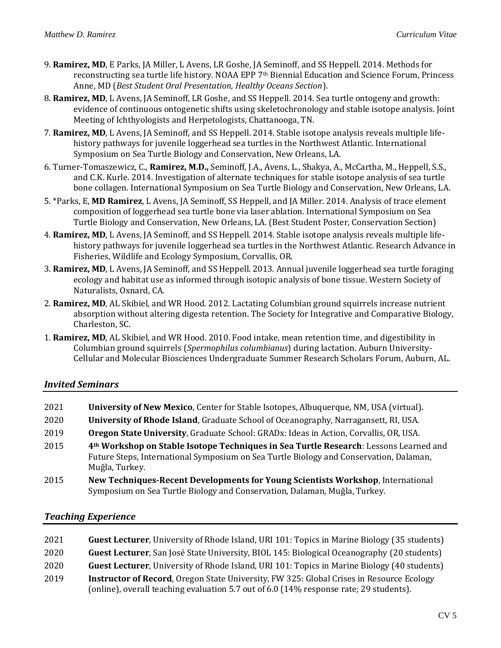- 9. **Ramirez, MD**, E Parks, JA Miller, L Avens, LR Goshe, JA Seminoff, and SS Heppell. 2014. Methods for reconstructing sea turtle life history. NOAA EPP 7<sup>th</sup> Biennial Education and Science Forum, Princess Anne, MD (*Best Student Oral Presentation, Healthy Oceans Section*).
- 8. **Ramirez, MD**, L Avens, JA Seminoff, LR Goshe, and SS Heppell. 2014. Sea turtle ontogeny and growth: evidence of continuous ontogenetic shifts using skeletochronology and stable isotope analysis. Joint Meeting of Ichthyologists and Herpetologists, Chattanooga, TN.
- 7. **Ramirez, MD**, L Avens, JA Seminoff, and SS Heppell. 2014. Stable isotope analysis reveals multiple lifehistory pathways for juvenile loggerhead sea turtles in the Northwest Atlantic. International Symposium on Sea Turtle Biology and Conservation, New Orleans, LA.
- 6. Turner-Tomaszewicz, C., **Ramirez, M.D.,** Seminoff, J.A., Avens, L., Shakya, A., McCartha, M., Heppell, S.S., and C.K. Kurle. 2014. Investigation of alternate techniques for stable isotope analysis of sea turtle bone collagen. International Symposium on Sea Turtle Biology and Conservation, New Orleans, LA.
- 5. \*Parks, E, **MD Ramirez**, L Avens, JA Seminoff, SS Heppell, and JA Miller. 2014. Analysis of trace element composition of loggerhead sea turtle bone via laser ablation. International Symposium on Sea Turtle Biology and Conservation, New Orleans, LA. (Best Student Poster, Conservation Section)
- 4. **Ramirez, MD**, L Avens, JA Seminoff, and SS Heppell. 2014. Stable isotope analysis reveals multiple lifehistory pathways for juvenile loggerhead sea turtles in the Northwest Atlantic. Research Advance in Fisheries, Wildlife and Ecology Symposium, Corvallis, OR.
- 3. **Ramirez, MD**, L Avens, JA Seminoff, and SS Heppell. 2013. Annual juvenile loggerhead sea turtle foraging ecology and habitat use as informed through isotopic analysis of bone tissue. Western Society of Naturalists, Oxnard, CA.
- 2. **Ramirez, MD**, AL Skibiel, and WR Hood. 2012. Lactating Columbian ground squirrels increase nutrient absorption without altering digesta retention. The Society for Integrative and Comparative Biology, Charleston, SC.
- 1. **Ramirez, MD**, AL Skibiel, and WR Hood. 2010. Food intake, mean retention time, and digestibility in Columbian ground squirrels (*Spermophilus columbianus*) during lactation. Auburn University-Cellular and Molecular Biosciences Undergraduate Summer Research Scholars Forum, Auburn, AL.

## *Invited Seminars*

| 2021 | <b>University of New Mexico, Center for Stable Isotopes, Albuquerque, NM, USA (virtual).</b>                                                                                                      |
|------|---------------------------------------------------------------------------------------------------------------------------------------------------------------------------------------------------|
| 2020 | University of Rhode Island, Graduate School of Oceanography, Narragansett, RI, USA.                                                                                                               |
| 2019 | <b>Oregon State University, Graduate School: GRADx: Ideas in Action, Corvallis, OR, USA.</b>                                                                                                      |
| 2015 | 4th Workshop on Stable Isotope Techniques in Sea Turtle Research: Lessons Learned and<br>Future Steps, International Symposium on Sea Turtle Biology and Conservation, Dalaman,<br>Muğla, Turkey. |
| 2015 | New Techniques-Recent Developments for Young Scientists Workshop, International<br>Symposium on Sea Turtle Biology and Conservation, Dalaman, Muğla, Turkey.                                      |

## *Teaching Experience*

 **Guest Lecturer**, University of Rhode Island, URI 101: Topics in Marine Biology (35 students) **Guest Lecturer**, San José State University, BIOL 145: Biological Oceanography (20 students) **Guest Lecturer**, University of Rhode Island, URI 101: Topics in Marine Biology (40 students) **Instructor of Record**, Oregon State University, FW 325: Global Crises in Resource Ecology (online), overall teaching evaluation 5.7 out of 6.0 (14% response rate; 29 students).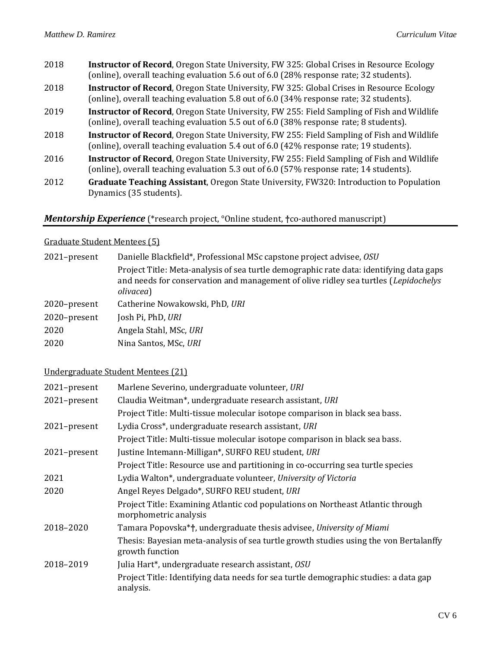- 2018 **Instructor of Record**, Oregon State University, FW 325: Global Crises in Resource Ecology (online), overall teaching evaluation 5.6 out of 6.0 (28% response rate; 32 students).
- 2018 **Instructor of Record**, Oregon State University, FW 325: Global Crises in Resource Ecology (online), overall teaching evaluation 5.8 out of 6.0 (34% response rate; 32 students).
- 2019 **Instructor of Record**, Oregon State University, FW 255: Field Sampling of Fish and Wildlife (online), overall teaching evaluation 5.5 out of 6.0 (38% response rate; 8 students).
- 2018 **Instructor of Record**, Oregon State University, FW 255: Field Sampling of Fish and Wildlife (online), overall teaching evaluation 5.4 out of 6.0 (42% response rate; 19 students).
- 2016 **Instructor of Record**, Oregon State University, FW 255: Field Sampling of Fish and Wildlife (online), overall teaching evaluation 5.3 out of 6.0 (57% response rate; 14 students).
- 2012 **Graduate Teaching Assistant**, Oregon State University, FW320: Introduction to Population Dynamics (35 students).

## *Mentorship Experience* (\*research project, °Online student, **†**co-authored manuscript)

#### Graduate Student Mentees (5)

| 2021-present | Danielle Blackfield*, Professional MSc capstone project advisee, OSU                                                                                                                        |
|--------------|---------------------------------------------------------------------------------------------------------------------------------------------------------------------------------------------|
|              | Project Title: Meta-analysis of sea turtle demographic rate data: identifying data gaps<br>and needs for conservation and management of olive ridley sea turtles (Lepidochelys<br>olivacea) |
| 2020-present | Catherine Nowakowski, PhD, URI                                                                                                                                                              |
| 2020-present | Josh Pi, PhD, URI                                                                                                                                                                           |
| 2020         | Angela Stahl, MSc, URI                                                                                                                                                                      |
| 2020         | Nina Santos, MSc, URI                                                                                                                                                                       |

#### Undergraduate Student Mentees (21)

| 2021-present | Marlene Severino, undergraduate volunteer, URI                                                           |
|--------------|----------------------------------------------------------------------------------------------------------|
| 2021-present | Claudia Weitman*, undergraduate research assistant, URI                                                  |
|              | Project Title: Multi-tissue molecular isotope comparison in black sea bass.                              |
| 2021-present | Lydia Cross*, undergraduate research assistant, URI                                                      |
|              | Project Title: Multi-tissue molecular isotope comparison in black sea bass.                              |
| 2021-present | Justine Intemann-Milligan*, SURFO REU student, URI                                                       |
|              | Project Title: Resource use and partitioning in co-occurring sea turtle species                          |
| 2021         | Lydia Walton*, undergraduate volunteer, University of Victoria                                           |
| 2020         | Angel Reyes Delgado*, SURFO REU student, URI                                                             |
|              | Project Title: Examining Atlantic cod populations on Northeast Atlantic through<br>morphometric analysis |
| 2018-2020    | Tamara Popovska*†, undergraduate thesis advisee, University of Miami                                     |
|              | Thesis: Bayesian meta-analysis of sea turtle growth studies using the von Bertalanffy<br>growth function |
| 2018-2019    | Julia Hart*, undergraduate research assistant, OSU                                                       |
|              | Project Title: Identifying data needs for sea turtle demographic studies: a data gap<br>analysis.        |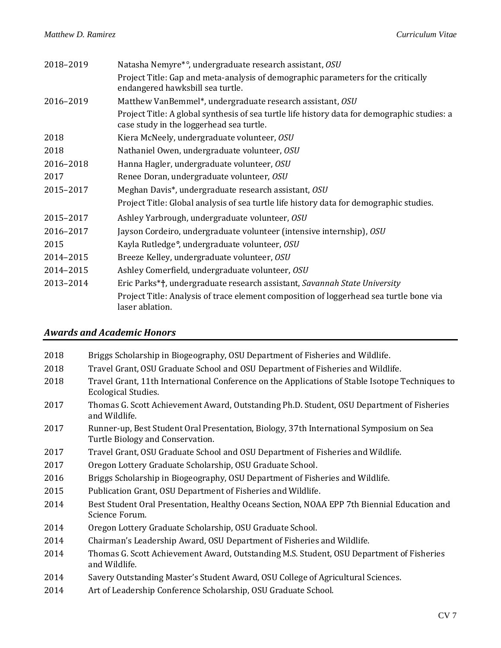| 2018-2019 | Natasha Nemyre*°, undergraduate research assistant, OSU                                                                                  |
|-----------|------------------------------------------------------------------------------------------------------------------------------------------|
|           | Project Title: Gap and meta-analysis of demographic parameters for the critically<br>endangered hawksbill sea turtle.                    |
| 2016-2019 | Matthew VanBemmel*, undergraduate research assistant, OSU                                                                                |
|           | Project Title: A global synthesis of sea turtle life history data for demographic studies: a<br>case study in the loggerhead sea turtle. |
| 2018      | Kiera McNeely, undergraduate volunteer, OSU                                                                                              |
| 2018      | Nathaniel Owen, undergraduate volunteer, OSU                                                                                             |
| 2016-2018 | Hanna Hagler, undergraduate volunteer, OSU                                                                                               |
| 2017      | Renee Doran, undergraduate volunteer, OSU                                                                                                |
| 2015-2017 | Meghan Davis*, undergraduate research assistant, OSU                                                                                     |
|           | Project Title: Global analysis of sea turtle life history data for demographic studies.                                                  |
| 2015-2017 | Ashley Yarbrough, undergraduate volunteer, OSU                                                                                           |
| 2016-2017 | Jayson Cordeiro, undergraduate volunteer (intensive internship), OSU                                                                     |
| 2015      | Kayla Rutledge°, undergraduate volunteer, OSU                                                                                            |
| 2014-2015 | Breeze Kelley, undergraduate volunteer, OSU                                                                                              |
| 2014-2015 | Ashley Comerfield, undergraduate volunteer, OSU                                                                                          |
| 2013-2014 | Eric Parks*†, undergraduate research assistant, Savannah State University                                                                |
|           | Project Title: Analysis of trace element composition of loggerhead sea turtle bone via<br>laser ablation.                                |

## *Awards and Academic Honors*

| 2018 | Briggs Scholarship in Biogeography, OSU Department of Fisheries and Wildlife.                                               |
|------|-----------------------------------------------------------------------------------------------------------------------------|
| 2018 | Travel Grant, OSU Graduate School and OSU Department of Fisheries and Wildlife.                                             |
| 2018 | Travel Grant, 11th International Conference on the Applications of Stable Isotope Techniques to<br>Ecological Studies.      |
| 2017 | Thomas G. Scott Achievement Award, Outstanding Ph.D. Student, OSU Department of Fisheries<br>and Wildlife.                  |
| 2017 | Runner-up, Best Student Oral Presentation, Biology, 37th International Symposium on Sea<br>Turtle Biology and Conservation. |
| 2017 | Travel Grant, OSU Graduate School and OSU Department of Fisheries and Wildlife.                                             |
| 2017 | Oregon Lottery Graduate Scholarship, OSU Graduate School.                                                                   |
| 2016 | Briggs Scholarship in Biogeography, OSU Department of Fisheries and Wildlife.                                               |
| 2015 | Publication Grant, OSU Department of Fisheries and Wildlife.                                                                |
| 2014 | Best Student Oral Presentation, Healthy Oceans Section, NOAA EPP 7th Biennial Education and<br>Science Forum.               |
| 2014 | Oregon Lottery Graduate Scholarship, OSU Graduate School.                                                                   |
| 2014 | Chairman's Leadership Award, OSU Department of Fisheries and Wildlife.                                                      |
| 2014 | Thomas G. Scott Achievement Award, Outstanding M.S. Student, OSU Department of Fisheries<br>and Wildlife.                   |
| 2014 | Savery Outstanding Master's Student Award, OSU College of Agricultural Sciences.                                            |
| 2014 | Art of Leadership Conference Scholarship, OSU Graduate School.                                                              |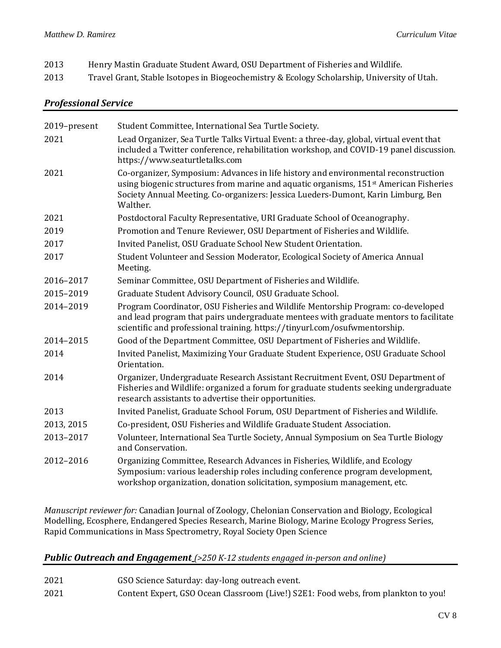| 2013 | Henry Mastin Graduate Student Award, OSU Department of Fisheries and Wildlife. |
|------|--------------------------------------------------------------------------------|
|      |                                                                                |

2013 Travel Grant, Stable Isotopes in Biogeochemistry & Ecology Scholarship, University of Utah.

## *Professional Service*

| 2019-present | Student Committee, International Sea Turtle Society.                                                                                                                                                                                                                                     |
|--------------|------------------------------------------------------------------------------------------------------------------------------------------------------------------------------------------------------------------------------------------------------------------------------------------|
| 2021         | Lead Organizer, Sea Turtle Talks Virtual Event: a three-day, global, virtual event that<br>included a Twitter conference, rehabilitation workshop, and COVID-19 panel discussion.<br>https://www.seaturtletalks.com                                                                      |
| 2021         | Co-organizer, Symposium: Advances in life history and environmental reconstruction<br>using biogenic structures from marine and aquatic organisms, 151 <sup>st</sup> American Fisheries<br>Society Annual Meeting. Co-organizers: Jessica Lueders-Dumont, Karin Limburg, Ben<br>Walther. |
| 2021         | Postdoctoral Faculty Representative, URI Graduate School of Oceanography.                                                                                                                                                                                                                |
| 2019         | Promotion and Tenure Reviewer, OSU Department of Fisheries and Wildlife.                                                                                                                                                                                                                 |
| 2017         | Invited Panelist, OSU Graduate School New Student Orientation.                                                                                                                                                                                                                           |
| 2017         | Student Volunteer and Session Moderator, Ecological Society of America Annual<br>Meeting.                                                                                                                                                                                                |
| 2016-2017    | Seminar Committee, OSU Department of Fisheries and Wildlife.                                                                                                                                                                                                                             |
| 2015-2019    | Graduate Student Advisory Council, OSU Graduate School.                                                                                                                                                                                                                                  |
| 2014-2019    | Program Coordinator, OSU Fisheries and Wildlife Mentorship Program: co-developed<br>and lead program that pairs undergraduate mentees with graduate mentors to facilitate<br>scientific and professional training. https://tinyurl.com/osufwmentorship.                                  |
| 2014-2015    | Good of the Department Committee, OSU Department of Fisheries and Wildlife.                                                                                                                                                                                                              |
| 2014         | Invited Panelist, Maximizing Your Graduate Student Experience, OSU Graduate School<br>Orientation.                                                                                                                                                                                       |
| 2014         | Organizer, Undergraduate Research Assistant Recruitment Event, OSU Department of<br>Fisheries and Wildlife: organized a forum for graduate students seeking undergraduate<br>research assistants to advertise their opportunities.                                                       |
| 2013         | Invited Panelist, Graduate School Forum, OSU Department of Fisheries and Wildlife.                                                                                                                                                                                                       |
| 2013, 2015   | Co-president, OSU Fisheries and Wildlife Graduate Student Association.                                                                                                                                                                                                                   |
| 2013-2017    | Volunteer, International Sea Turtle Society, Annual Symposium on Sea Turtle Biology<br>and Conservation.                                                                                                                                                                                 |
| 2012-2016    | Organizing Committee, Research Advances in Fisheries, Wildlife, and Ecology<br>Symposium: various leadership roles including conference program development,<br>workshop organization, donation solicitation, symposium management, etc.                                                 |

*Manuscript reviewer for:* Canadian Journal of Zoology, Chelonian Conservation and Biology, Ecological Modelling, Ecosphere, Endangered Species Research, Marine Biology, Marine Ecology Progress Series, Rapid Communications in Mass Spectrometry, Royal Society Open Science

## *Public Outreach and Engagement (>250 K-12 students engaged in-person and online)*

- 2021 GSO Science Saturday: day-long outreach event.
- 2021 Content Expert, GSO Ocean Classroom (Live!) S2E1: Food webs, from plankton to you!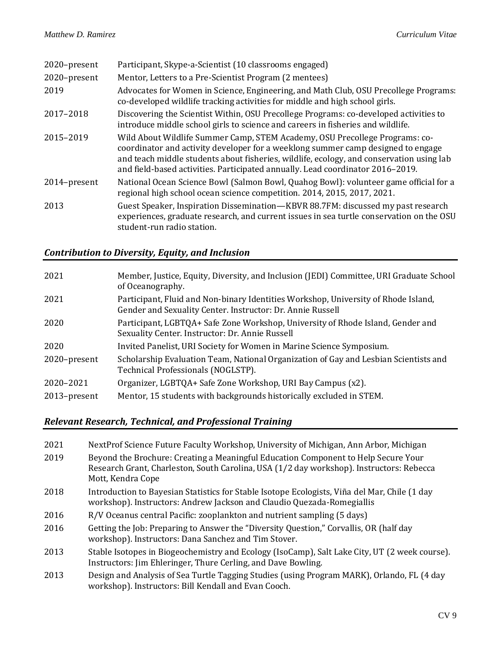| 2020-present | Participant, Skype-a-Scientist (10 classrooms engaged)                                                                                                                                                                                                                                                                                        |
|--------------|-----------------------------------------------------------------------------------------------------------------------------------------------------------------------------------------------------------------------------------------------------------------------------------------------------------------------------------------------|
| 2020-present | Mentor, Letters to a Pre-Scientist Program (2 mentees)                                                                                                                                                                                                                                                                                        |
| 2019         | Advocates for Women in Science, Engineering, and Math Club, OSU Precollege Programs:<br>co-developed wildlife tracking activities for middle and high school girls.                                                                                                                                                                           |
| 2017-2018    | Discovering the Scientist Within, OSU Precollege Programs: co-developed activities to<br>introduce middle school girls to science and careers in fisheries and wildlife.                                                                                                                                                                      |
| 2015-2019    | Wild About Wildlife Summer Camp, STEM Academy, OSU Precollege Programs: co-<br>coordinator and activity developer for a weeklong summer camp designed to engage<br>and teach middle students about fisheries, wildlife, ecology, and conservation using lab<br>and field-based activities. Participated annually. Lead coordinator 2016-2019. |
| 2014-present | National Ocean Science Bowl (Salmon Bowl, Quahog Bowl): volunteer game official for a<br>regional high school ocean science competition. 2014, 2015, 2017, 2021.                                                                                                                                                                              |
| 2013         | Guest Speaker, Inspiration Dissemination—KBVR 88.7FM: discussed my past research<br>experiences, graduate research, and current issues in sea turtle conservation on the OSU<br>student-run radio station.                                                                                                                                    |

# *Contribution to Diversity, Equity, and Inclusion*

| 2021         | Member, Justice, Equity, Diversity, and Inclusion (JEDI) Committee, URI Graduate School<br>of Oceanography.                                      |
|--------------|--------------------------------------------------------------------------------------------------------------------------------------------------|
| 2021         | Participant, Fluid and Non-binary Identities Workshop, University of Rhode Island,<br>Gender and Sexuality Center. Instructor: Dr. Annie Russell |
| 2020         | Participant, LGBTQA+ Safe Zone Workshop, University of Rhode Island, Gender and<br>Sexuality Center. Instructor: Dr. Annie Russell               |
| 2020         | Invited Panelist, URI Society for Women in Marine Science Symposium.                                                                             |
| 2020-present | Scholarship Evaluation Team, National Organization of Gay and Lesbian Scientists and<br>Technical Professionals (NOGLSTP).                       |
| 2020-2021    | Organizer, LGBTQA+ Safe Zone Workshop, URI Bay Campus (x2).                                                                                      |
| 2013-present | Mentor, 15 students with backgrounds historically excluded in STEM.                                                                              |

# *Relevant Research, Technical, and Professional Training*

| 2021 | NextProf Science Future Faculty Workshop, University of Michigan, Ann Arbor, Michigan                                                                                                               |
|------|-----------------------------------------------------------------------------------------------------------------------------------------------------------------------------------------------------|
| 2019 | Beyond the Brochure: Creating a Meaningful Education Component to Help Secure Your<br>Research Grant, Charleston, South Carolina, USA (1/2 day workshop). Instructors: Rebecca<br>Mott, Kendra Cope |
| 2018 | Introduction to Bayesian Statistics for Stable Isotope Ecologists, Viña del Mar, Chile (1 day<br>workshop). Instructors: Andrew Jackson and Claudio Quezada-Romegiallis                             |
| 2016 | R/V Oceanus central Pacific: zooplankton and nutrient sampling (5 days)                                                                                                                             |
| 2016 | Getting the Job: Preparing to Answer the "Diversity Question," Corvallis, OR (half day<br>workshop). Instructors: Dana Sanchez and Tim Stover.                                                      |
| 2013 | Stable Isotopes in Biogeochemistry and Ecology (IsoCamp), Salt Lake City, UT (2 week course).<br>Instructors: Jim Ehleringer, Thure Cerling, and Dave Bowling.                                      |
| 2013 | Design and Analysis of Sea Turtle Tagging Studies (using Program MARK), Orlando, FL (4 day<br>workshop). Instructors: Bill Kendall and Evan Cooch.                                                  |